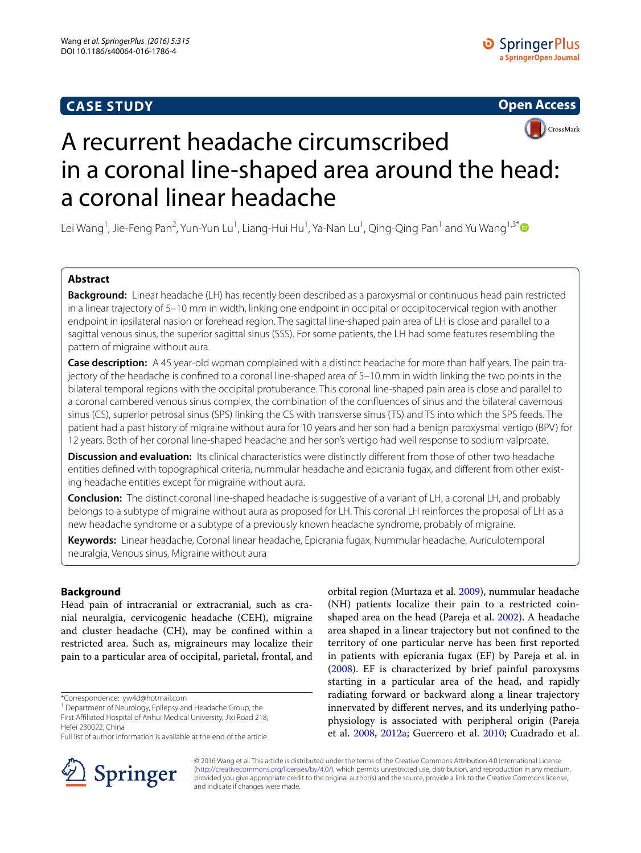# **CASE STUDY**





# A recurrent headache circumscribed in a coronal line-shaped area around the head: a coronal linear headache

Lei Wang<sup>1</sup>, Jie-Feng Pan<sup>2</sup>, Yun-Yun Lu<sup>1</sup>, Liang-Hui Hu<sup>1</sup>, Ya-Nan Lu<sup>1</sup>, Qing-Qing Pan<sup>1</sup> and Yu Wang<sup>1,3[\\*](http://orcid.org/0000-0002-9454-9699)</sup>

# **Abstract**

**Background:** Linear headache (LH) has recently been described as a paroxysmal or continuous head pain restricted in a linear trajectory of 5–10 mm in width, linking one endpoint in occipital or occipitocervical region with another endpoint in ipsilateral nasion or forehead region. The sagittal line-shaped pain area of LH is close and parallel to a sagittal venous sinus, the superior sagittal sinus (SSS). For some patients, the LH had some features resembling the pattern of migraine without aura.

**Case description:** A 45 year-old woman complained with a distinct headache for more than half years. The pain tra‑ jectory of the headache is confined to a coronal line-shaped area of 5–10 mm in width linking the two points in the bilateral temporal regions with the occipital protuberance. This coronal line-shaped pain area is close and parallel to a coronal cambered venous sinus complex, the combination of the confluences of sinus and the bilateral cavernous sinus (CS), superior petrosal sinus (SPS) linking the CS with transverse sinus (TS) and TS into which the SPS feeds. The patient had a past history of migraine without aura for 10 years and her son had a benign paroxysmal vertigo (BPV) for 12 years. Both of her coronal line-shaped headache and her son's vertigo had well response to sodium valproate.

**Discussion and evaluation:** Its clinical characteristics were distinctly different from those of other two headache entities defined with topographical criteria, nummular headache and epicrania fugax, and different from other existing headache entities except for migraine without aura.

**Conclusion:** The distinct coronal line-shaped headache is suggestive of a variant of LH, a coronal LH, and probably belongs to a subtype of migraine without aura as proposed for LH. This coronal LH reinforces the proposal of LH as a new headache syndrome or a subtype of a previously known headache syndrome, probably of migraine.

**Keywords:** Linear headache, Coronal linear headache, Epicrania fugax, Nummular headache, Auriculotemporal neuralgia, Venous sinus, Migraine without aura

## **Background**

Head pain of intracranial or extracranial, such as cranial neuralgia, cervicogenic headache (CEH), migraine and cluster headache (CH), may be confined within a restricted area. Such as, migraineurs may localize their pain to a particular area of occipital, parietal, frontal, and

\*Correspondence: yw4d@hotmail.com

<sup>1</sup> Department of Neurology, Epilepsy and Headache Group, the First Affiliated Hospital of Anhui Medical University, Jixi Road 218, Hefei 230022, China

Full list of author information is available at the end of the article



orbital region (Murtaza et al. [2009](#page-4-0)), nummular headache (NH) patients localize their pain to a restricted coinshaped area on the head (Pareja et al. [2002](#page-4-1)). A headache area shaped in a linear trajectory but not confined to the territory of one particular nerve has been first reported in patients with epicrania fugax (EF) by Pareja et al. in ([2008\)](#page-4-2). EF is characterized by brief painful paroxysms starting in a particular area of the head, and rapidly radiating forward or backward along a linear trajectory innervated by different nerves, and its underlying pathophysiology is associated with peripheral origin (Pareja et al. [2008](#page-4-2), [2012a](#page-4-3); Guerrero et al. [2010;](#page-4-4) Cuadrado et al.

© 2016 Wang et al. This article is distributed under the terms of the Creative Commons Attribution 4.0 International License [\(http://creativecommons.org/licenses/by/4.0/\)](http://creativecommons.org/licenses/by/4.0/), which permits unrestricted use, distribution, and reproduction in any medium, provided you give appropriate credit to the original author(s) and the source, provide a link to the Creative Commons license, and indicate if changes were made.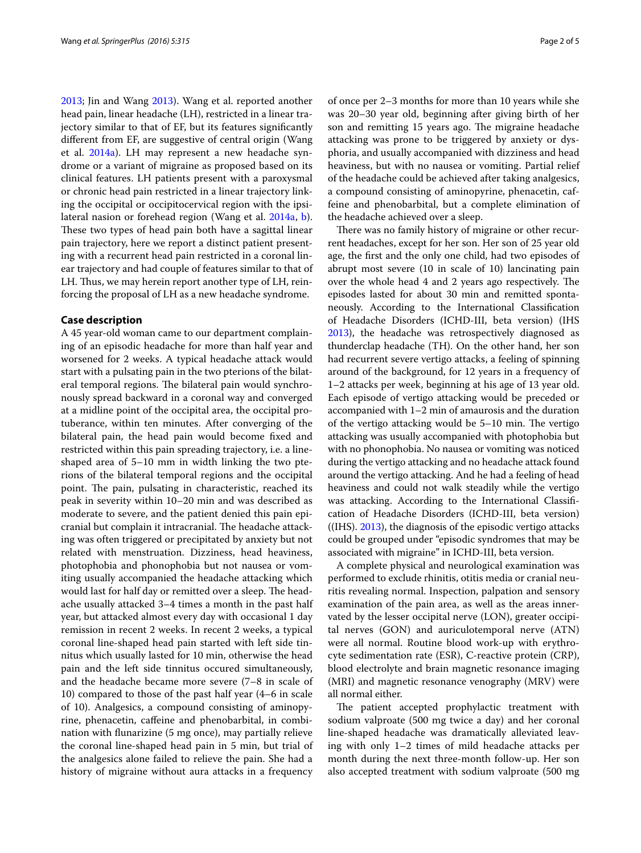[2013](#page-4-5); Jin and Wang [2013\)](#page-4-6). Wang et al. reported another head pain, linear headache (LH), restricted in a linear trajectory similar to that of EF, but its features significantly different from EF, are suggestive of central origin (Wang et al. [2014a\)](#page-4-7). LH may represent a new headache syndrome or a variant of migraine as proposed based on its clinical features. LH patients present with a paroxysmal or chronic head pain restricted in a linear trajectory linking the occipital or occipitocervical region with the ipsilateral nasion or forehead region (Wang et al. [2014a,](#page-4-7) [b](#page-4-8)). These two types of head pain both have a sagittal linear pain trajectory, here we report a distinct patient presenting with a recurrent head pain restricted in a coronal linear trajectory and had couple of features similar to that of LH. Thus, we may herein report another type of LH, reinforcing the proposal of LH as a new headache syndrome.

## **Case description**

A 45 year-old woman came to our department complaining of an episodic headache for more than half year and worsened for 2 weeks. A typical headache attack would start with a pulsating pain in the two pterions of the bilateral temporal regions. The bilateral pain would synchronously spread backward in a coronal way and converged at a midline point of the occipital area, the occipital protuberance, within ten minutes. After converging of the bilateral pain, the head pain would become fixed and restricted within this pain spreading trajectory, i.e. a lineshaped area of 5–10 mm in width linking the two pterions of the bilateral temporal regions and the occipital point. The pain, pulsating in characteristic, reached its peak in severity within 10–20 min and was described as moderate to severe, and the patient denied this pain epicranial but complain it intracranial. The headache attacking was often triggered or precipitated by anxiety but not related with menstruation. Dizziness, head heaviness, photophobia and phonophobia but not nausea or vomiting usually accompanied the headache attacking which would last for half day or remitted over a sleep. The headache usually attacked 3–4 times a month in the past half year, but attacked almost every day with occasional 1 day remission in recent 2 weeks. In recent 2 weeks, a typical coronal line-shaped head pain started with left side tinnitus which usually lasted for 10 min, otherwise the head pain and the left side tinnitus occured simultaneously, and the headache became more severe (7–8 in scale of 10) compared to those of the past half year (4–6 in scale of 10). Analgesics, a compound consisting of aminopyrine, phenacetin, caffeine and phenobarbital, in combination with flunarizine (5 mg once), may partially relieve the coronal line-shaped head pain in 5 min, but trial of the analgesics alone failed to relieve the pain. She had a history of migraine without aura attacks in a frequency of once per 2–3 months for more than 10 years while she was 20–30 year old, beginning after giving birth of her son and remitting 15 years ago. The migraine headache attacking was prone to be triggered by anxiety or dysphoria, and usually accompanied with dizziness and head heaviness, but with no nausea or vomiting. Partial relief of the headache could be achieved after taking analgesics, a compound consisting of aminopyrine, phenacetin, caffeine and phenobarbital, but a complete elimination of the headache achieved over a sleep.

There was no family history of migraine or other recurrent headaches, except for her son. Her son of 25 year old age, the first and the only one child, had two episodes of abrupt most severe (10 in scale of 10) lancinating pain over the whole head 4 and 2 years ago respectively. The episodes lasted for about 30 min and remitted spontaneously. According to the International Classification of Headache Disorders (ICHD-III, beta version) (IHS [2013](#page-4-9)), the headache was retrospectively diagnosed as thunderclap headache (TH). On the other hand, her son had recurrent severe vertigo attacks, a feeling of spinning around of the background, for 12 years in a frequency of 1–2 attacks per week, beginning at his age of 13 year old. Each episode of vertigo attacking would be preceded or accompanied with 1–2 min of amaurosis and the duration of the vertigo attacking would be 5–10 min. The vertigo attacking was usually accompanied with photophobia but with no phonophobia. No nausea or vomiting was noticed during the vertigo attacking and no headache attack found around the vertigo attacking. And he had a feeling of head heaviness and could not walk steadily while the vertigo was attacking. According to the International Classification of Headache Disorders (ICHD-III, beta version) ((IHS). [2013](#page-4-9)), the diagnosis of the episodic vertigo attacks could be grouped under "episodic syndromes that may be associated with migraine" in ICHD-III, beta version.

A complete physical and neurological examination was performed to exclude rhinitis, otitis media or cranial neuritis revealing normal. Inspection, palpation and sensory examination of the pain area, as well as the areas innervated by the lesser occipital nerve (LON), greater occipital nerves (GON) and auriculotemporal nerve (ATN) were all normal. Routine blood work-up with erythrocyte sedimentation rate (ESR), C-reactive protein (CRP), blood electrolyte and brain magnetic resonance imaging (MRI) and magnetic resonance venography (MRV) were all normal either.

The patient accepted prophylactic treatment with sodium valproate (500 mg twice a day) and her coronal line-shaped headache was dramatically alleviated leaving with only 1–2 times of mild headache attacks per month during the next three-month follow-up. Her son also accepted treatment with sodium valproate (500 mg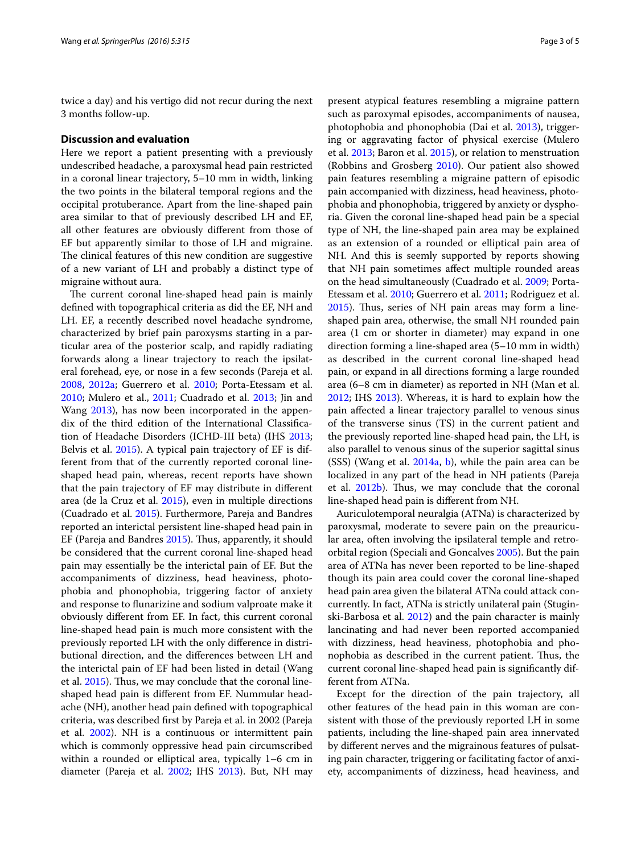twice a day) and his vertigo did not recur during the next 3 months follow-up.

## **Discussion and evaluation**

Here we report a patient presenting with a previously undescribed headache, a paroxysmal head pain restricted in a coronal linear trajectory, 5–10 mm in width, linking the two points in the bilateral temporal regions and the occipital protuberance. Apart from the line-shaped pain area similar to that of previously described LH and EF, all other features are obviously different from those of EF but apparently similar to those of LH and migraine. The clinical features of this new condition are suggestive of a new variant of LH and probably a distinct type of migraine without aura.

The current coronal line-shaped head pain is mainly defined with topographical criteria as did the EF, NH and LH. EF, a recently described novel headache syndrome, characterized by brief pain paroxysms starting in a particular area of the posterior scalp, and rapidly radiating forwards along a linear trajectory to reach the ipsilateral forehead, eye, or nose in a few seconds (Pareja et al. [2008](#page-4-2), [2012a;](#page-4-3) Guerrero et al. [2010](#page-4-4); Porta-Etessam et al. [2010](#page-4-10); Mulero et al., [2011;](#page-4-11) Cuadrado et al. [2013](#page-4-5); Jin and Wang [2013](#page-4-6)), has now been incorporated in the appendix of the third edition of the International Classification of Headache Disorders (ICHD-III beta) (IHS [2013](#page-4-9); Belvis et al. [2015](#page-3-0)). A typical pain trajectory of EF is different from that of the currently reported coronal lineshaped head pain, whereas, recent reports have shown that the pain trajectory of EF may distribute in different area (de la Cruz et al. [2015\)](#page-4-12), even in multiple directions (Cuadrado et al. [2015](#page-4-13)). Furthermore, Pareja and Bandres reported an interictal persistent line-shaped head pain in EF (Pareja and Bandres [2015](#page-4-14)). Thus, apparently, it should be considered that the current coronal line-shaped head pain may essentially be the interictal pain of EF. But the accompaniments of dizziness, head heaviness, photophobia and phonophobia, triggering factor of anxiety and response to flunarizine and sodium valproate make it obviously different from EF. In fact, this current coronal line-shaped head pain is much more consistent with the previously reported LH with the only difference in distributional direction, and the differences between LH and the interictal pain of EF had been listed in detail (Wang et al. [2015](#page-4-15)). Thus, we may conclude that the coronal lineshaped head pain is different from EF. Nummular headache (NH), another head pain defined with topographical criteria, was described first by Pareja et al. in 2002 (Pareja et al. [2002](#page-4-1)). NH is a continuous or intermittent pain which is commonly oppressive head pain circumscribed within a rounded or elliptical area, typically 1–6 cm in diameter (Pareja et al. [2002;](#page-4-1) IHS [2013\)](#page-4-9). But, NH may

present atypical features resembling a migraine pattern such as paroxymal episodes, accompaniments of nausea, photophobia and phonophobia (Dai et al. [2013](#page-4-16)), triggering or aggravating factor of physical exercise (Mulero et al. [2013](#page-4-17); Baron et al. [2015\)](#page-3-1), or relation to menstruation (Robbins and Grosberg [2010](#page-4-18)). Our patient also showed pain features resembling a migraine pattern of episodic pain accompanied with dizziness, head heaviness, photophobia and phonophobia, triggered by anxiety or dysphoria. Given the coronal line-shaped head pain be a special type of NH, the line-shaped pain area may be explained as an extension of a rounded or elliptical pain area of NH. And this is seemly supported by reports showing that NH pain sometimes affect multiple rounded areas on the head simultaneously (Cuadrado et al. [2009](#page-4-19); Porta-Etessam et al. [2010;](#page-4-10) Guerrero et al. [2011;](#page-4-20) Rodriguez et al. [2015](#page-4-21)). Thus, series of NH pain areas may form a lineshaped pain area, otherwise, the small NH rounded pain area (1 cm or shorter in diameter) may expand in one direction forming a line-shaped area (5–10 mm in width) as described in the current coronal line-shaped head pain, or expand in all directions forming a large rounded area (6–8 cm in diameter) as reported in NH (Man et al. [2012](#page-4-22); IHS [2013\)](#page-4-9). Whereas, it is hard to explain how the pain affected a linear trajectory parallel to venous sinus of the transverse sinus (TS) in the current patient and the previously reported line-shaped head pain, the LH, is also parallel to venous sinus of the superior sagittal sinus (SSS) (Wang et al. [2014a](#page-4-7), [b](#page-4-8)), while the pain area can be localized in any part of the head in NH patients (Pareja et al. [2012b](#page-4-23)). Thus, we may conclude that the coronal line-shaped head pain is different from NH.

Auriculotemporal neuralgia (ATNa) is characterized by paroxysmal, moderate to severe pain on the preauricular area, often involving the ipsilateral temple and retroorbital region (Speciali and Goncalves [2005](#page-4-24)). But the pain area of ATNa has never been reported to be line-shaped though its pain area could cover the coronal line-shaped head pain area given the bilateral ATNa could attack concurrently. In fact, ATNa is strictly unilateral pain (Stuginski-Barbosa et al. [2012](#page-4-25)) and the pain character is mainly lancinating and had never been reported accompanied with dizziness, head heaviness, photophobia and phonophobia as described in the current patient. Thus, the current coronal line-shaped head pain is significantly different from ATNa.

Except for the direction of the pain trajectory, all other features of the head pain in this woman are consistent with those of the previously reported LH in some patients, including the line-shaped pain area innervated by different nerves and the migrainous features of pulsating pain character, triggering or facilitating factor of anxiety, accompaniments of dizziness, head heaviness, and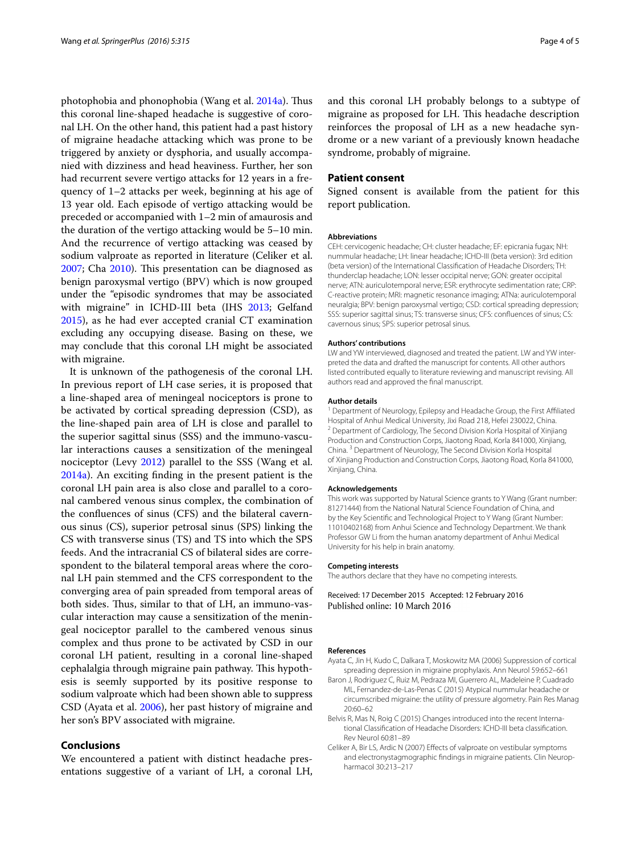photophobia and phonophobia (Wang et al. [2014a\)](#page-4-7). Thus this coronal line-shaped headache is suggestive of coronal LH. On the other hand, this patient had a past history of migraine headache attacking which was prone to be triggered by anxiety or dysphoria, and usually accompanied with dizziness and head heaviness. Further, her son had recurrent severe vertigo attacks for 12 years in a frequency of 1–2 attacks per week, beginning at his age of 13 year old. Each episode of vertigo attacking would be preceded or accompanied with 1–2 min of amaurosis and the duration of the vertigo attacking would be 5–10 min. And the recurrence of vertigo attacking was ceased by sodium valproate as reported in literature (Celiker et al. [2007](#page-3-2); Cha [2010\)](#page-4-26). This presentation can be diagnosed as benign paroxysmal vertigo (BPV) which is now grouped under the "episodic syndromes that may be associated with migraine" in ICHD-III beta (IHS [2013](#page-4-9); Gelfand [2015](#page-4-27)), as he had ever accepted cranial CT examination excluding any occupying disease. Basing on these, we may conclude that this coronal LH might be associated with migraine.

It is unknown of the pathogenesis of the coronal LH. In previous report of LH case series, it is proposed that a line-shaped area of meningeal nociceptors is prone to be activated by cortical spreading depression (CSD), as the line-shaped pain area of LH is close and parallel to the superior sagittal sinus (SSS) and the immuno-vascular interactions causes a sensitization of the meningeal nociceptor (Levy [2012\)](#page-4-28) parallel to the SSS (Wang et al. [2014a\)](#page-4-7). An exciting finding in the present patient is the coronal LH pain area is also close and parallel to a coronal cambered venous sinus complex, the combination of the confluences of sinus (CFS) and the bilateral cavernous sinus (CS), superior petrosal sinus (SPS) linking the CS with transverse sinus (TS) and TS into which the SPS feeds. And the intracranial CS of bilateral sides are correspondent to the bilateral temporal areas where the coronal LH pain stemmed and the CFS correspondent to the converging area of pain spreaded from temporal areas of both sides. Thus, similar to that of LH, an immuno-vascular interaction may cause a sensitization of the meningeal nociceptor parallel to the cambered venous sinus complex and thus prone to be activated by CSD in our coronal LH patient, resulting in a coronal line-shaped cephalalgia through migraine pain pathway. This hypothesis is seemly supported by its positive response to sodium valproate which had been shown able to suppress CSD (Ayata et al. [2006\)](#page-3-3), her past history of migraine and her son's BPV associated with migraine.

## **Conclusions**

We encountered a patient with distinct headache presentations suggestive of a variant of LH, a coronal LH, and this coronal LH probably belongs to a subtype of migraine as proposed for LH. This headache description reinforces the proposal of LH as a new headache syndrome or a new variant of a previously known headache syndrome, probably of migraine.

### **Patient consent**

Signed consent is available from the patient for this report publication.

#### **Abbreviations**

CEH: cervicogenic headache; CH: cluster headache; EF: epicrania fugax; NH: nummular headache; LH: linear headache; ICHD-III (beta version): 3rd edition (beta version) of the International Classification of Headache Disorders; TH: thunderclap headache; LON: lesser occipital nerve; GON: greater occipital nerve; ATN: auriculotemporal nerve; ESR: erythrocyte sedimentation rate; CRP: C-reactive protein; MRI: magnetic resonance imaging; ATNa: auriculotemporal neuralgia; BPV: benign paroxysmal vertigo; CSD: cortical spreading depression; SSS: superior sagittal sinus; TS: transverse sinus; CFS: confluences of sinus; CS: cavernous sinus; SPS: superior petrosal sinus.

#### **Authors' contributions**

LW and YW interviewed, diagnosed and treated the patient. LW and YW interpreted the data and drafted the manuscript for contents. All other authors listed contributed equally to literature reviewing and manuscript revising. All authors read and approved the final manuscript.

#### **Author details**

<sup>1</sup> Department of Neurology, Epilepsy and Headache Group, the First Affiliated Hospital of Anhui Medical University, Jixi Road 218, Hefei 230022, China.<br><sup>2</sup> Department of Cardiology, The Second Division Korla Hospital of Xinjiang Production and Construction Corps, Jiaotong Road, Korla 841000, Xinjiang, China. <sup>3</sup> Department of Neurology, The Second Division Korla Hospital of Xinjiang Production and Construction Corps, Jiaotong Road, Korla 841000, Xinjiang, China.

#### **Acknowledgements**

This work was supported by Natural Science grants to Y Wang (Grant number: 81271444) from the National Natural Science Foundation of China, and by the Key Scientific and Technological Project to Y Wang (Grant Number: 11010402168) from Anhui Science and Technology Department. We thank Professor GW Li from the human anatomy department of Anhui Medical University for his help in brain anatomy.

#### **Competing interests**

The authors declare that they have no competing interests.

Received: 17 December 2015 Accepted: 12 February 2016 Published online: 10 March 2016

#### **References**

- <span id="page-3-3"></span>Ayata C, Jin H, Kudo C, Dalkara T, Moskowitz MA (2006) Suppression of cortical spreading depression in migraine prophylaxis. Ann Neurol 59:652–661
- <span id="page-3-1"></span>Baron J, Rodriguez C, Ruiz M, Pedraza MI, Guerrero AL, Madeleine P, Cuadrado ML, Fernandez-de-Las-Penas C (2015) Atypical nummular headache or circumscribed migraine: the utility of pressure algometry. Pain Res Manag 20:60–62
- <span id="page-3-0"></span>Belvis R, Mas N, Roig C (2015) Changes introduced into the recent International Classification of Headache Disorders: ICHD-III beta classification. Rev Neurol 60:81–89
- <span id="page-3-2"></span>Celiker A, Bir LS, Ardic N (2007) Effects of valproate on vestibular symptoms and electronystagmographic findings in migraine patients. Clin Neuropharmacol 30:213–217